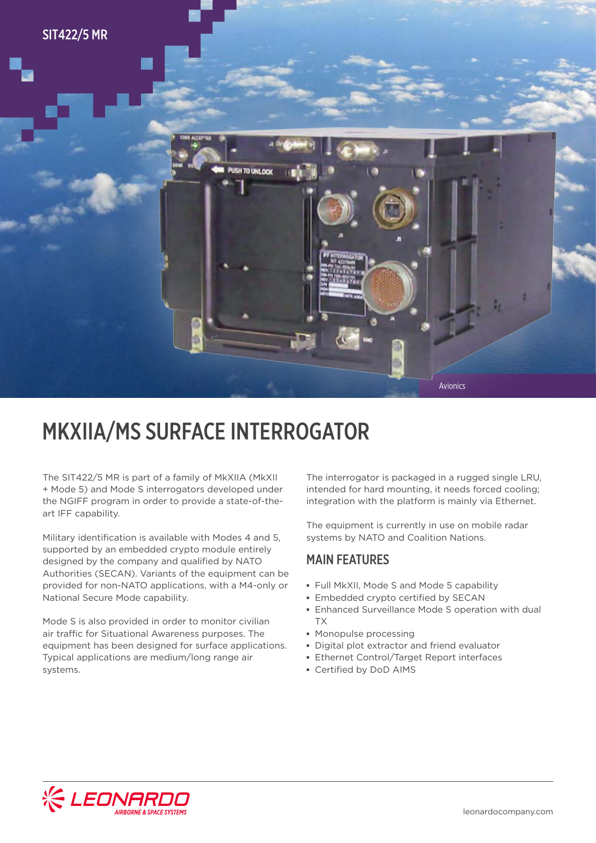

## MKXIIA/MS SURFACE INTERROGATOR

The SIT422/5 MR is part of a family of MkXIIA (MkXII + Mode 5) and Mode S interrogators developed under the NGIFF program in order to provide a state-of-theart IFF capability.

Military identification is available with Modes 4 and 5, supported by an embedded crypto module entirely designed by the company and qualified by NATO Authorities (SECAN). Variants of the equipment can be provided for non-NATO applications, with a M4-only or National Secure Mode capability.

Mode S is also provided in order to monitor civilian air traffic for Situational Awareness purposes. The equipment has been designed for surface applications. Typical applications are medium/long range air systems.

The interrogator is packaged in a rugged single LRU, intended for hard mounting, it needs forced cooling; integration with the platform is mainly via Ethernet.

The equipment is currently in use on mobile radar systems by NATO and Coalition Nations.

#### MAIN FEATURES

- **▪** Full MkXII, Mode S and Mode 5 capability
- **▪** Embedded crypto certified by SECAN
- **▪** Enhanced Surveillance Mode S operation with dual TX
- **▪** Monopulse processing
- **▪** Digital plot extractor and friend evaluator
- **▪** Ethernet Control/Target Report interfaces
- **▪** Certified by DoD AIMS